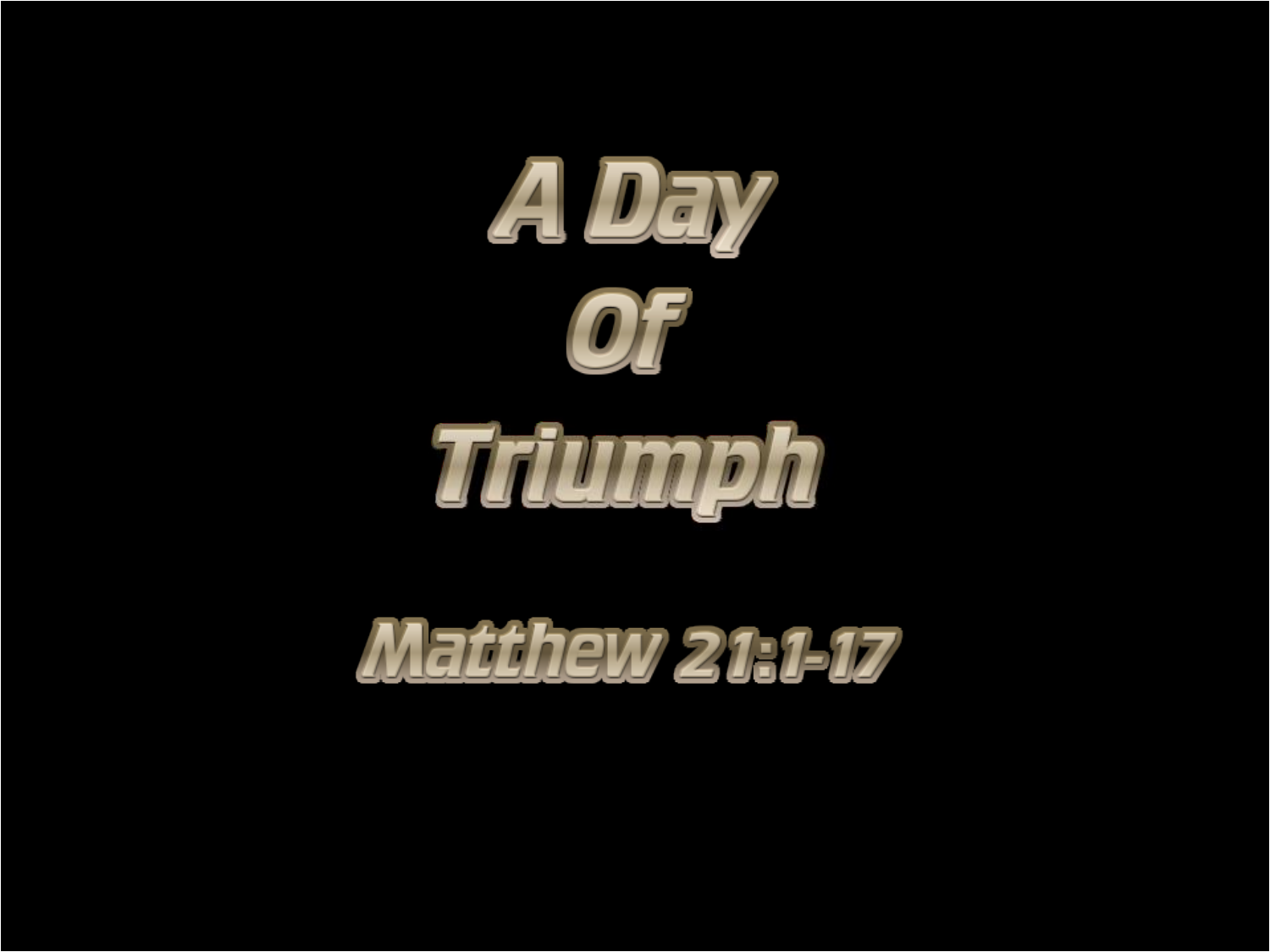



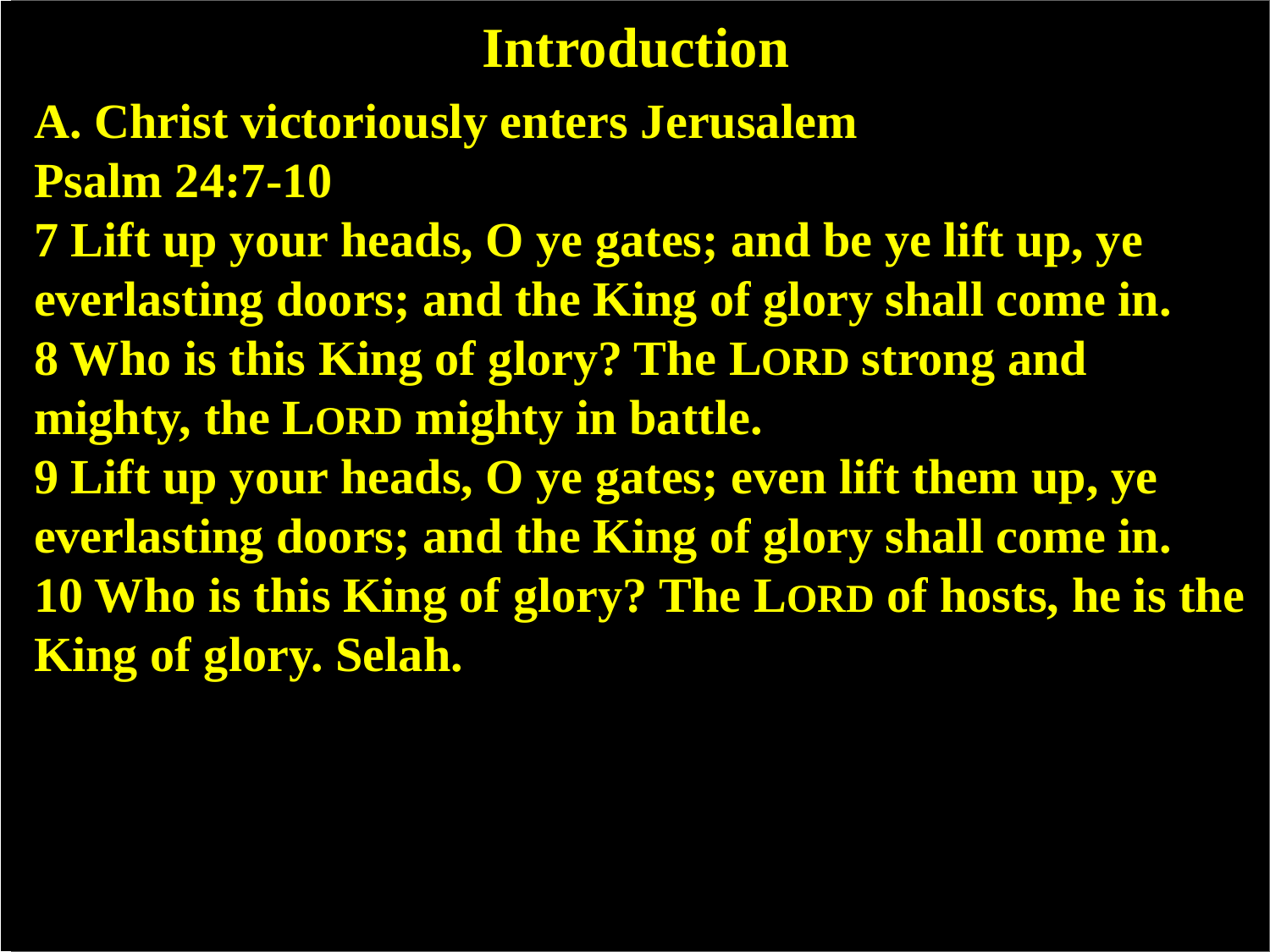### **Introduction**

- **A. Christ victoriously enters Jerusalem Psalm 24:7-10**
- **7 Lift up your heads, O ye gates; and be ye lift up, ye everlasting doors; and the King of glory shall come in. 8 Who is this King of glory? The LORD strong and mighty, the LORD mighty in battle.**
- **9 Lift up your heads, O ye gates; even lift them up, ye everlasting doors; and the King of glory shall come in. 10 Who is this King of glory? The LORD of hosts, he is the King of glory. Selah.**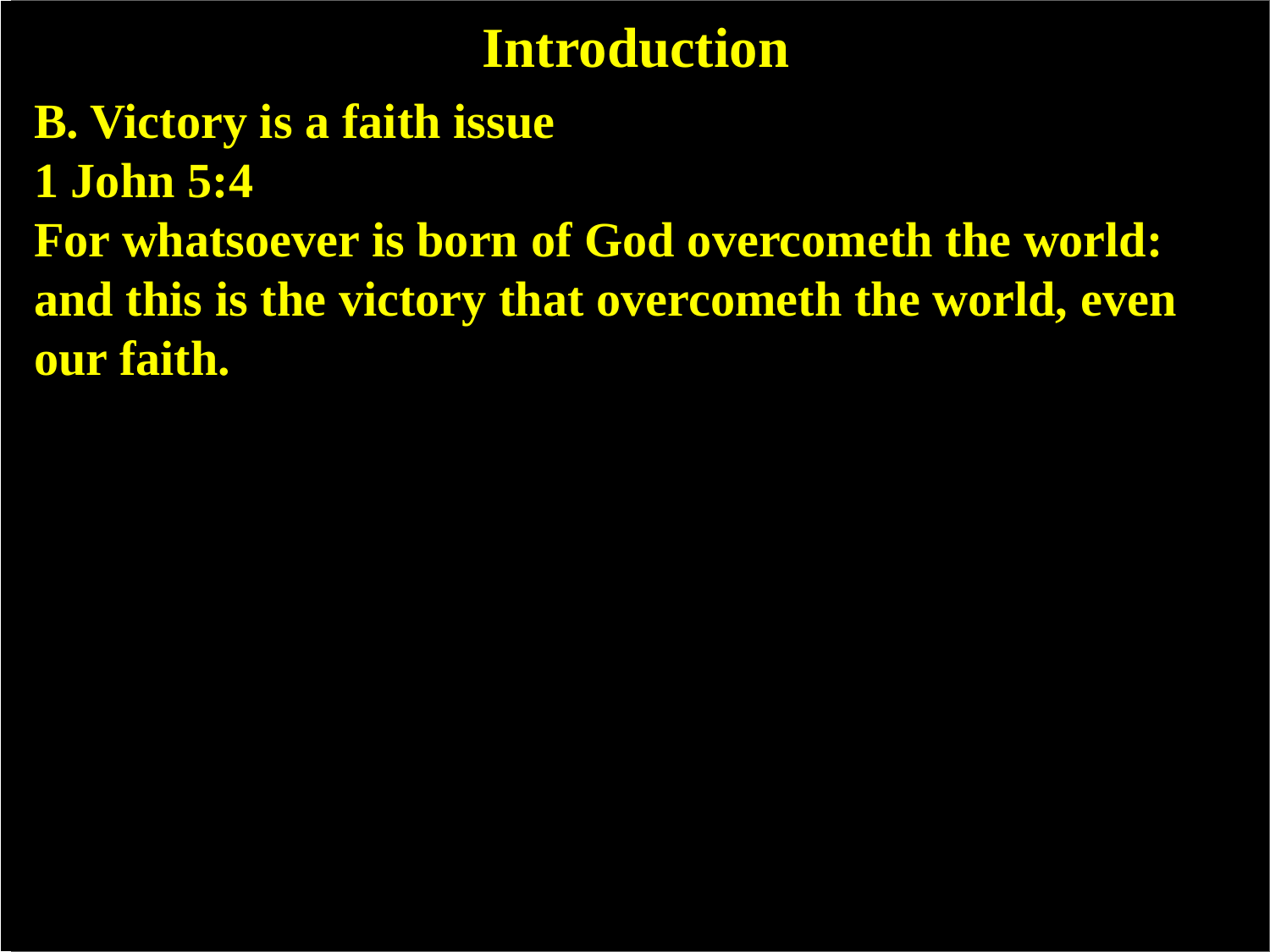#### **Introduction**

**B. Victory is a faith issue**

**1 John 5:4**

**For whatsoever is born of God overcometh the world: and this is the victory that overcometh the world, even our faith.**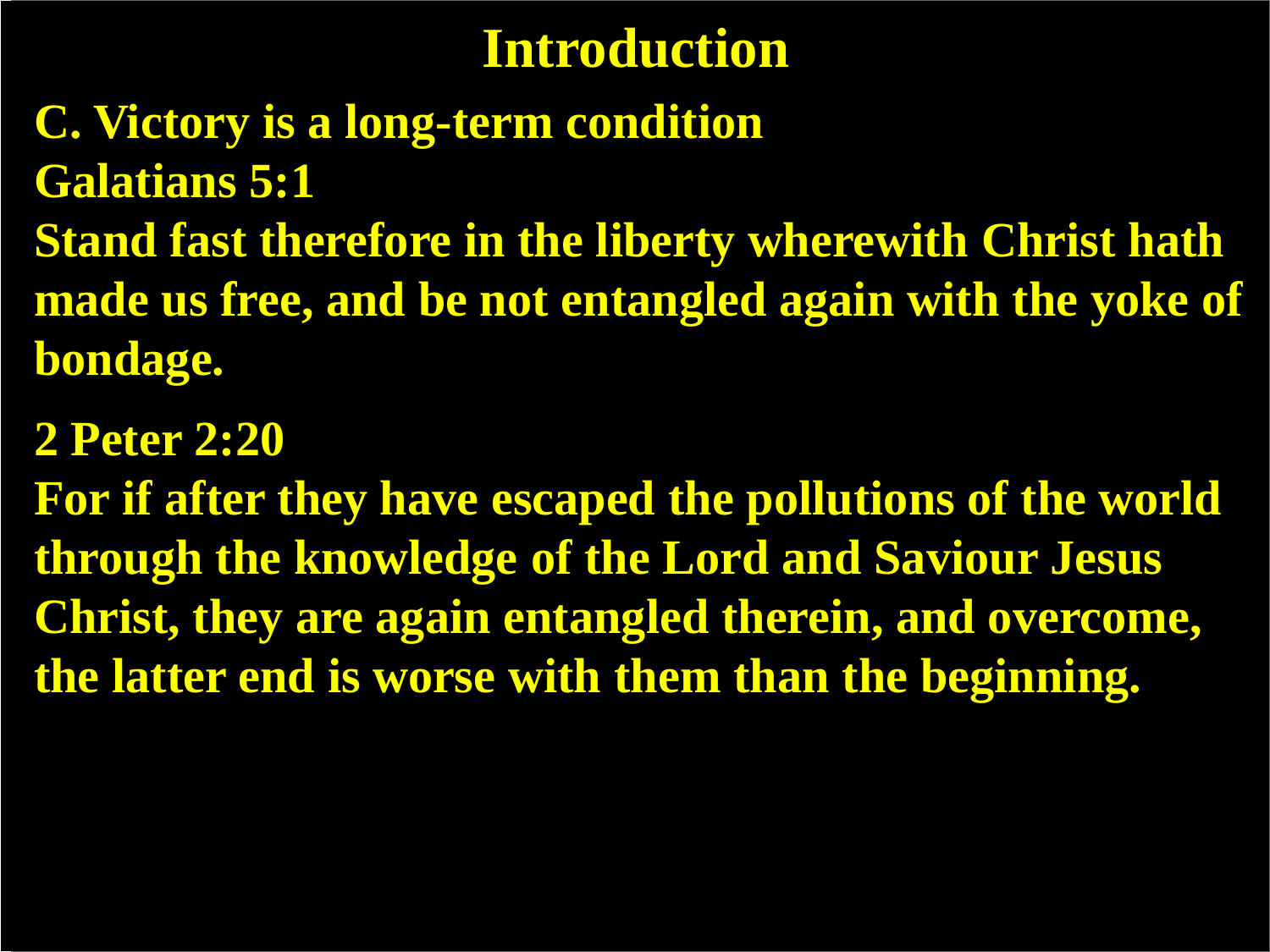### **Introduction**

- **C. Victory is a long-term condition Galatians 5:1 Stand fast therefore in the liberty wherewith Christ hath made us free, and be not entangled again with the yoke of bondage.**
- **2 Peter 2:20**

**For if after they have escaped the pollutions of the world through the knowledge of the Lord and Saviour Jesus Christ, they are again entangled therein, and overcome, the latter end is worse with them than the beginning.**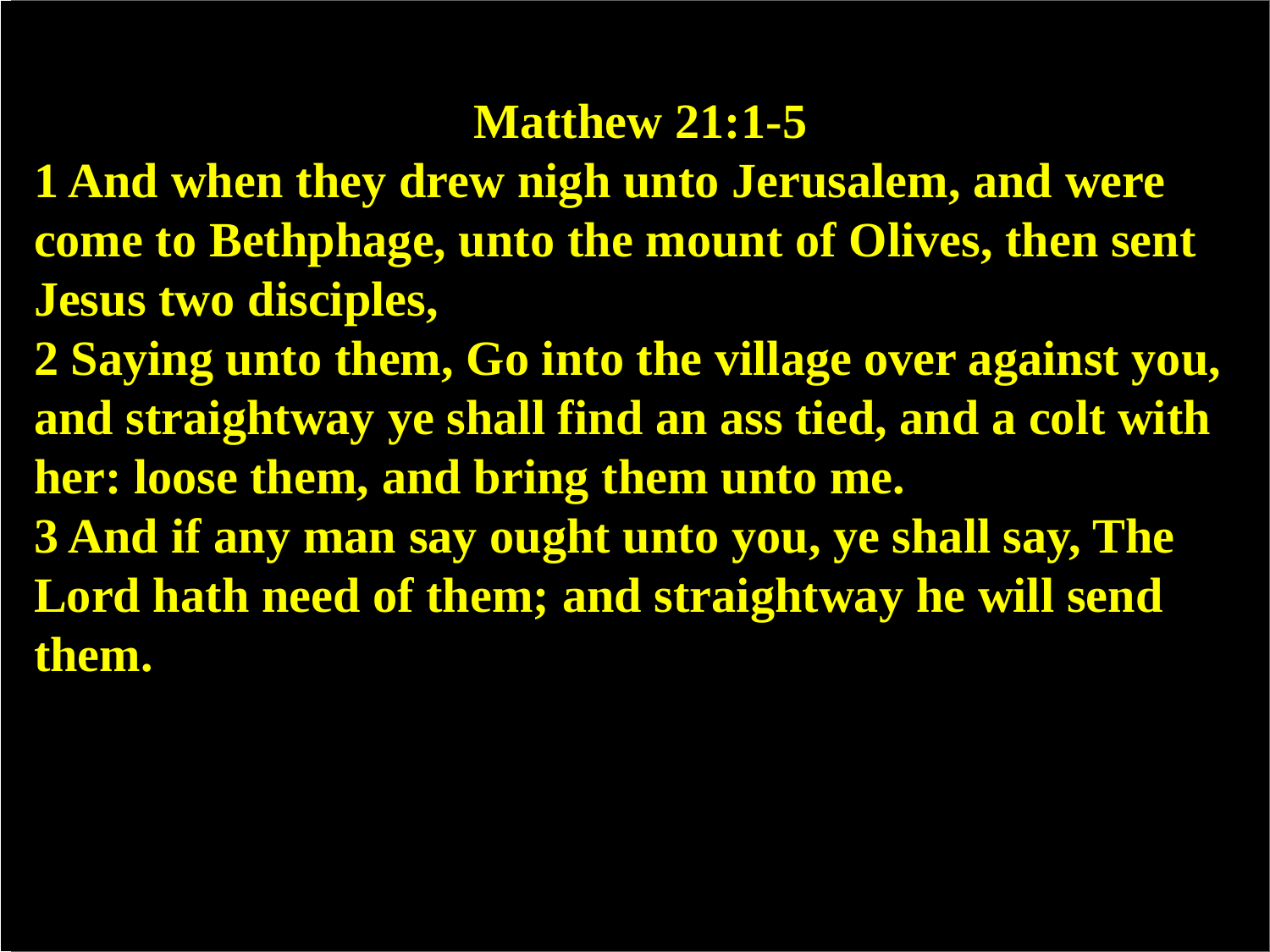#### **Matthew 21:1-5**

**1 And when they drew nigh unto Jerusalem, and were come to Bethphage, unto the mount of Olives, then sent Jesus two disciples,**

**2 Saying unto them, Go into the village over against you, and straightway ye shall find an ass tied, and a colt with her: loose them, and bring them unto me.**

**3 And if any man say ought unto you, ye shall say, The Lord hath need of them; and straightway he will send them.**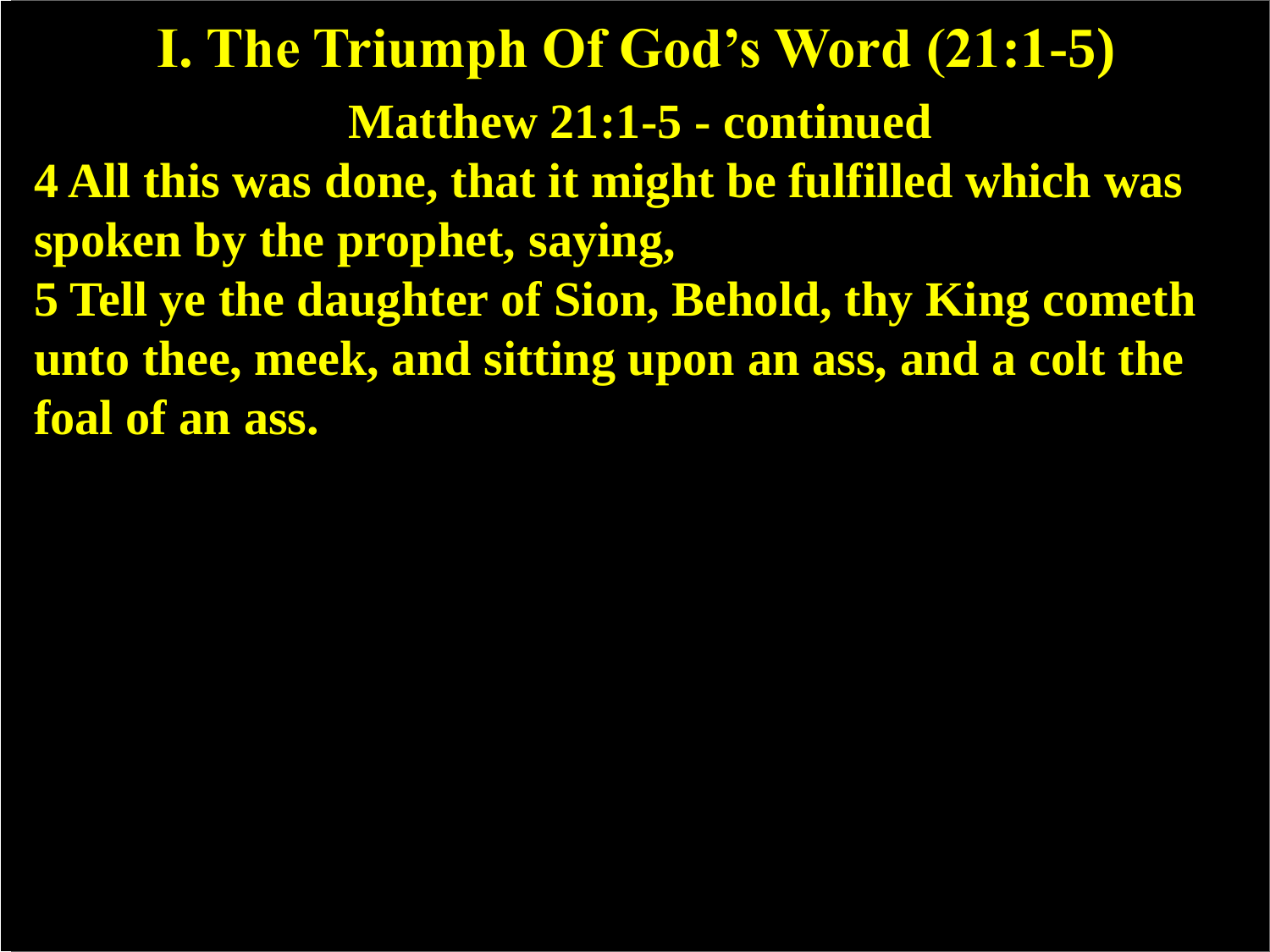**Matthew 21:1-5 - continued 4 All this was done, that it might be fulfilled which was spoken by the prophet, saying, 5 Tell ye the daughter of Sion, Behold, thy King cometh unto thee, meek, and sitting upon an ass, and a colt the foal of an ass. I. The Triumph Of God's Word (21:1-5)**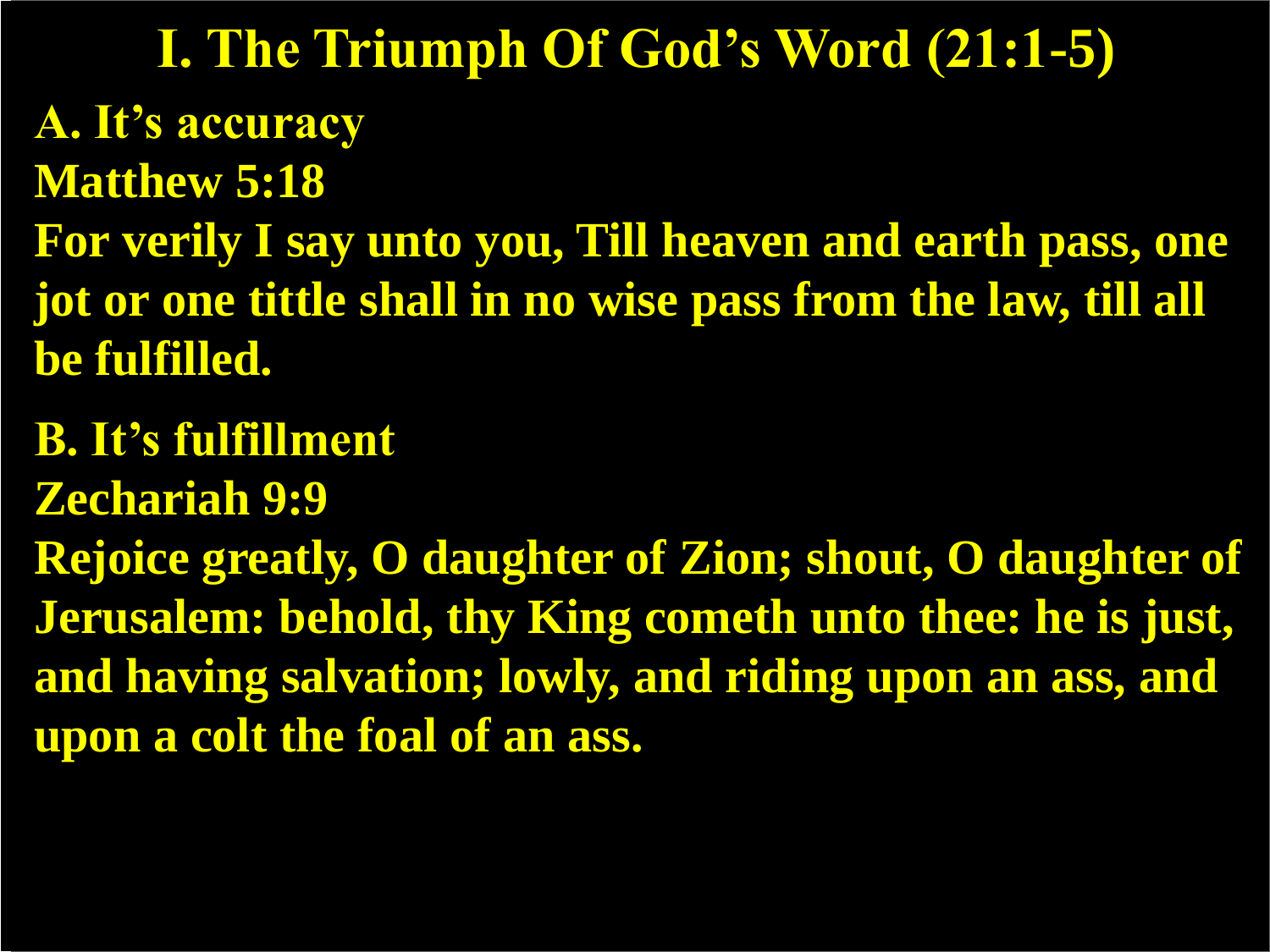**A. It's accuracy Matthew 5:18 For verily I say unto you, Till heaven and earth pass, one jot or one tittle shall in no wise pass from the law, till all be fulfilled. I. The Triumph Of God's Word (21:1-5)**

**B. It's fulfillment Zechariah 9:9**

**Rejoice greatly, O daughter of Zion; shout, O daughter of Jerusalem: behold, thy King cometh unto thee: he is just, and having salvation; lowly, and riding upon an ass, and upon a colt the foal of an ass.**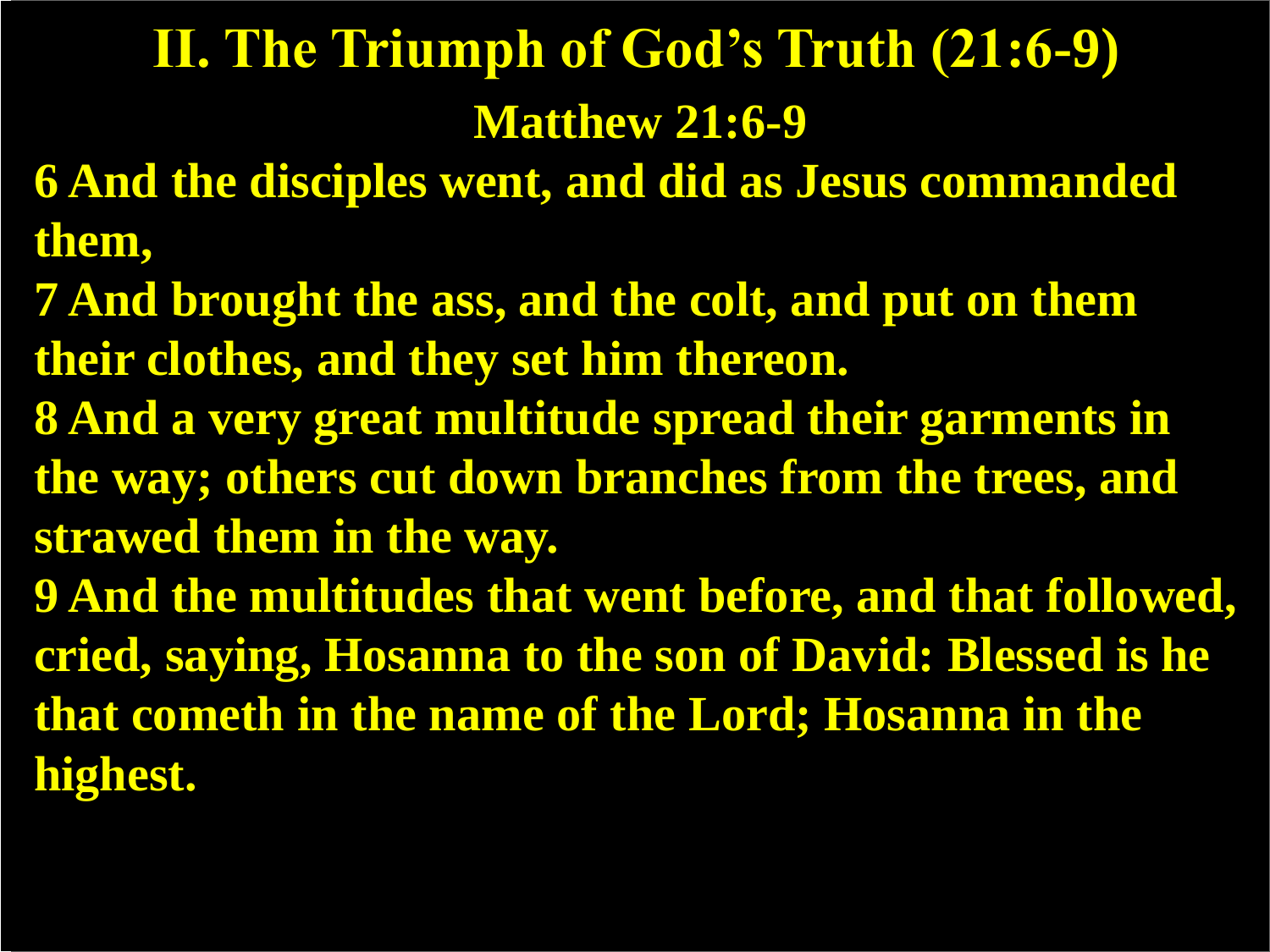# **Matthew 21:6-9 II. The Triumph of God's Truth (21:6-9)**

- **6 And the disciples went, and did as Jesus commanded them,**
- **7 And brought the ass, and the colt, and put on them their clothes, and they set him thereon.**
- **8 And a very great multitude spread their garments in the way; others cut down branches from the trees, and strawed them in the way.**
- **9 And the multitudes that went before, and that followed, cried, saying, Hosanna to the son of David: Blessed is he that cometh in the name of the Lord; Hosanna in the highest.**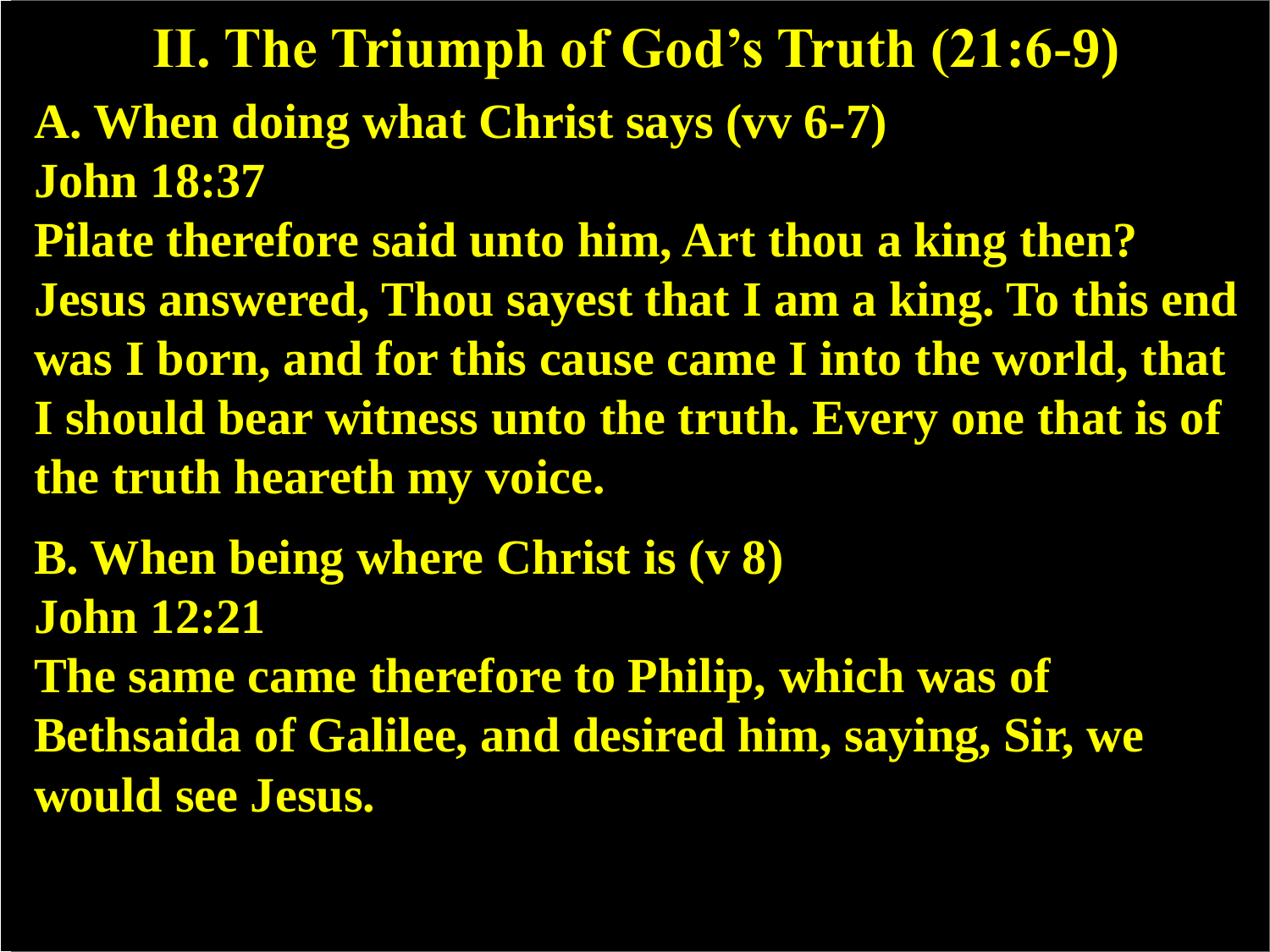**A. When doing what Christ says (vv 6-7) John 18:37 II. The Triumph of God's Truth (21:6-9)**

**Pilate therefore said unto him, Art thou a king then? Jesus answered, Thou sayest that I am a king. To this end was I born, and for this cause came I into the world, that I should bear witness unto the truth. Every one that is of the truth heareth my voice.**

**B. When being where Christ is (v 8) John 12:21 The same came therefore to Philip, which was of** 

**Bethsaida of Galilee, and desired him, saying, Sir, we would see Jesus.**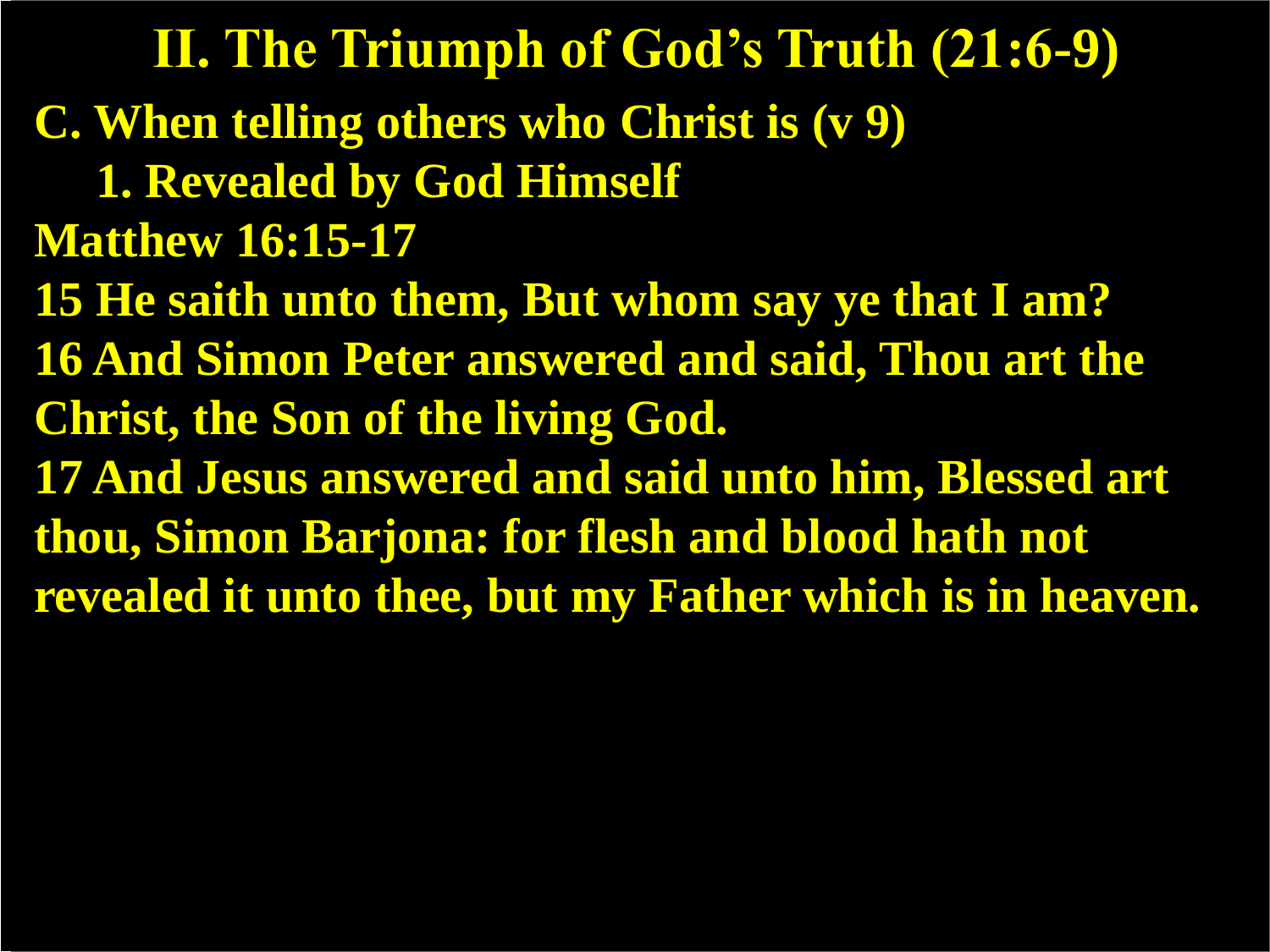**C. When telling others who Christ is (v 9) 1. Revealed by God Himself Matthew 16:15-17 15 He saith unto them, But whom say ye that I am? 16 And Simon Peter answered and said, Thou art the Christ, the Son of the living God. 17 And Jesus answered and said unto him, Blessed art thou, Simon Barjona: for flesh and blood hath not revealed it unto thee, but my Father which is in heaven. II. The Triumph of God's Truth (21:6-9)**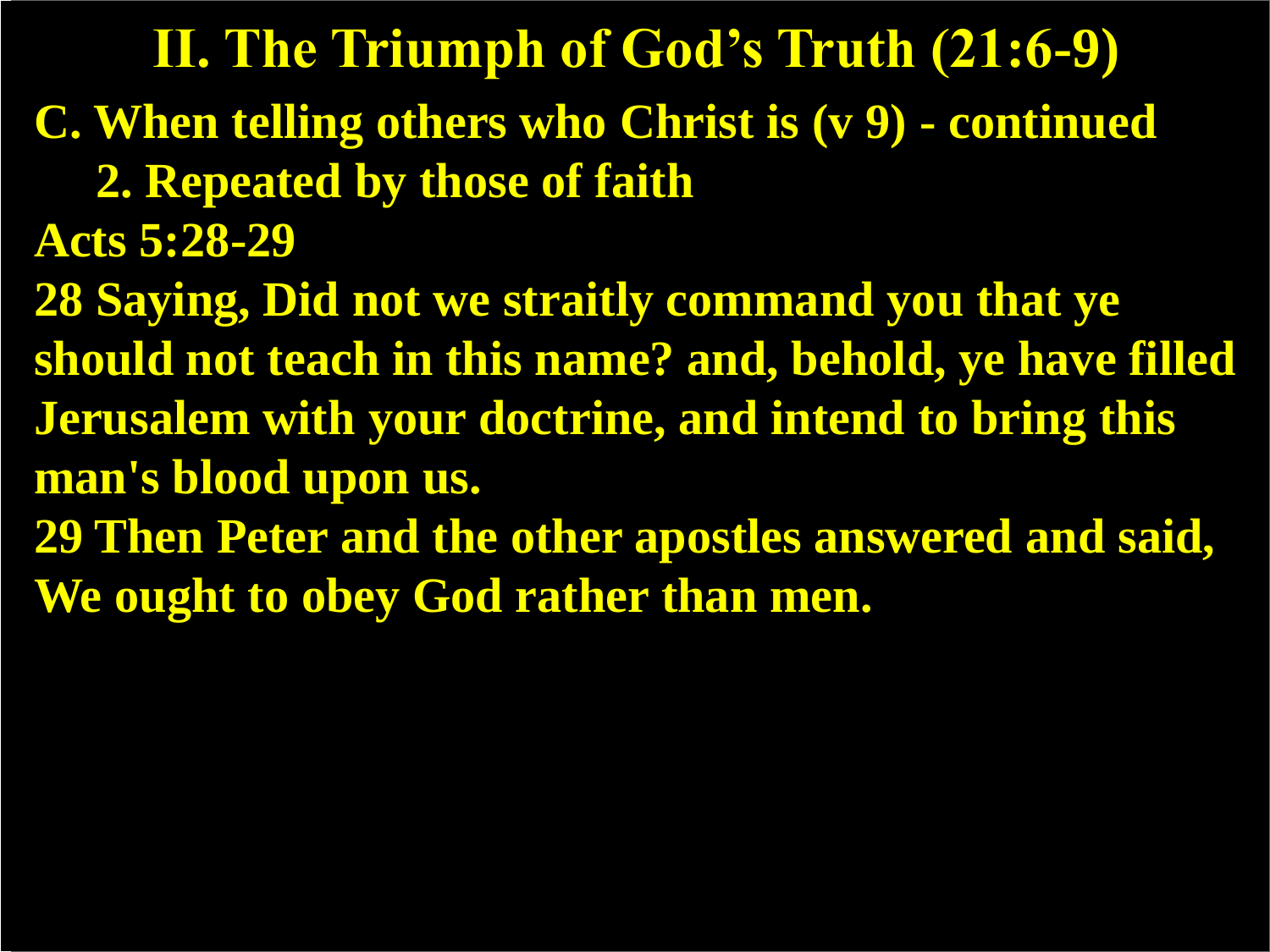**C. When telling others who Christ is (v 9) - continued 2. Repeated by those of faith Acts 5:28-29 28 Saying, Did not we straitly command you that ye should not teach in this name? and, behold, ye have filled Jerusalem with your doctrine, and intend to bring this man's blood upon us. 29 Then Peter and the other apostles answered and said, We ought to obey God rather than men. II. The Triumph of God's Truth (21:6-9)**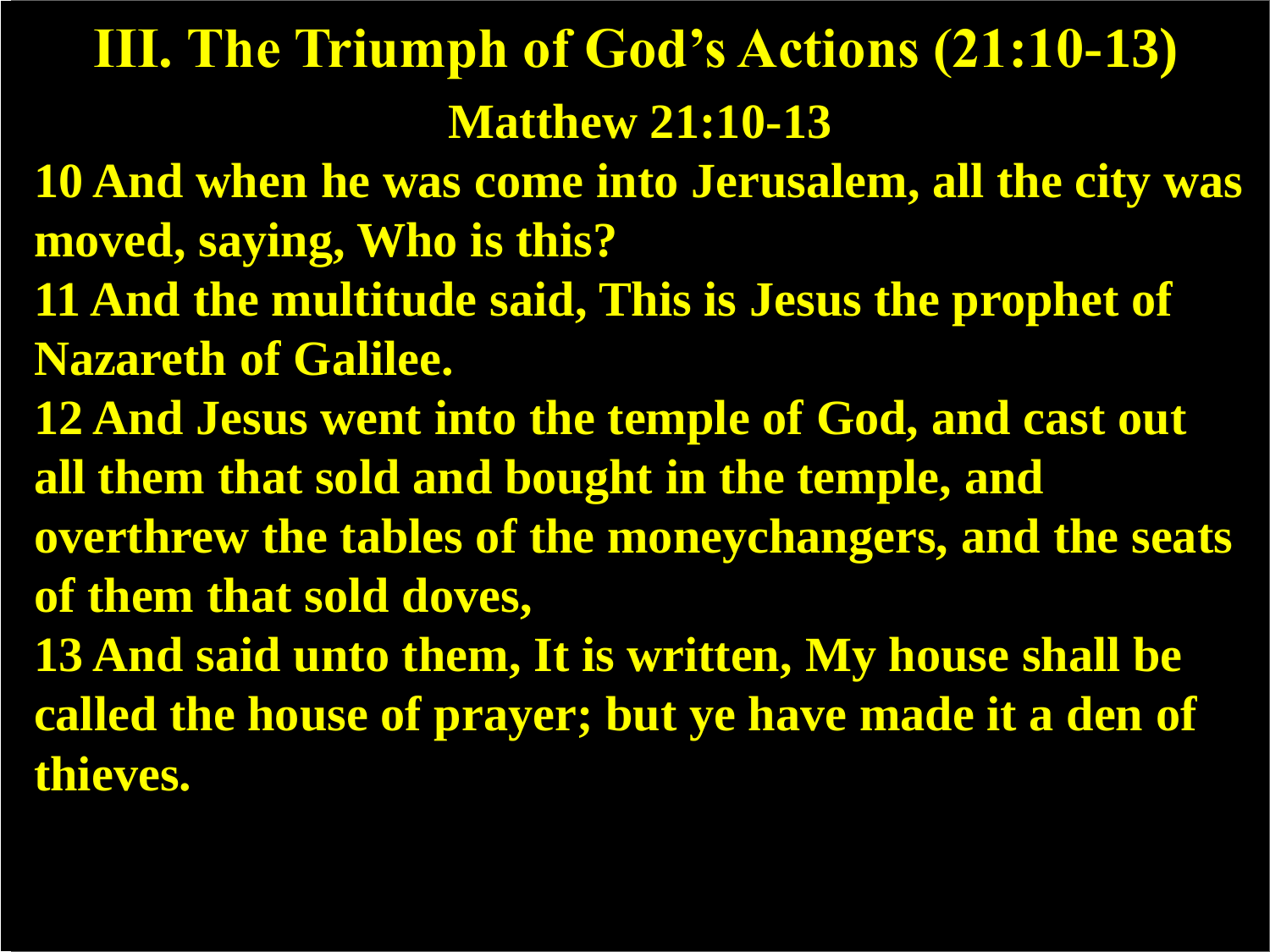## **Matthew 21:10-13 III. The Triumph of God's Actions (21:10-13)**

- **10 And when he was come into Jerusalem, all the city was moved, saying, Who is this?**
- **11 And the multitude said, This is Jesus the prophet of Nazareth of Galilee.**
- **12 And Jesus went into the temple of God, and cast out all them that sold and bought in the temple, and overthrew the tables of the moneychangers, and the seats of them that sold doves,**
- **13 And said unto them, It is written, My house shall be called the house of prayer; but ye have made it a den of thieves.**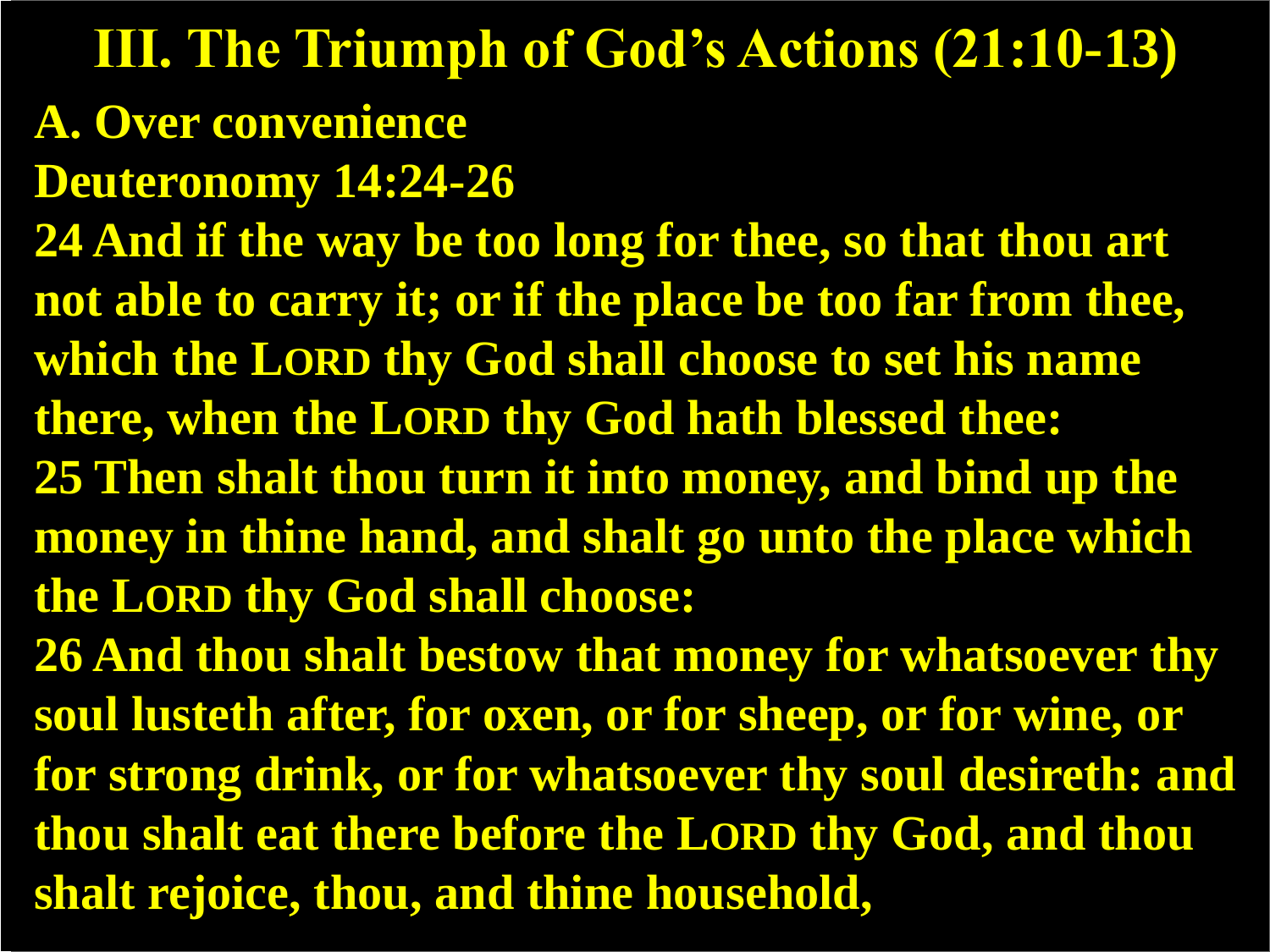**A. Over convenience Deuteronomy 14:24-26 24 And if the way be too long for thee, so that thou art not able to carry it; or if the place be too far from thee, which the LORD thy God shall choose to set his name there, when the LORD thy God hath blessed thee: 25 Then shalt thou turn it into money, and bind up the money in thine hand, and shalt go unto the place which the LORD thy God shall choose: 26 And thou shalt bestow that money for whatsoever thy soul lusteth after, for oxen, or for sheep, or for wine, or for strong drink, or for whatsoever thy soul desireth: and thou shalt eat there before the LORD thy God, and thou shalt rejoice, thou, and thine household, III. The Triumph of God's Actions (21:10-13)**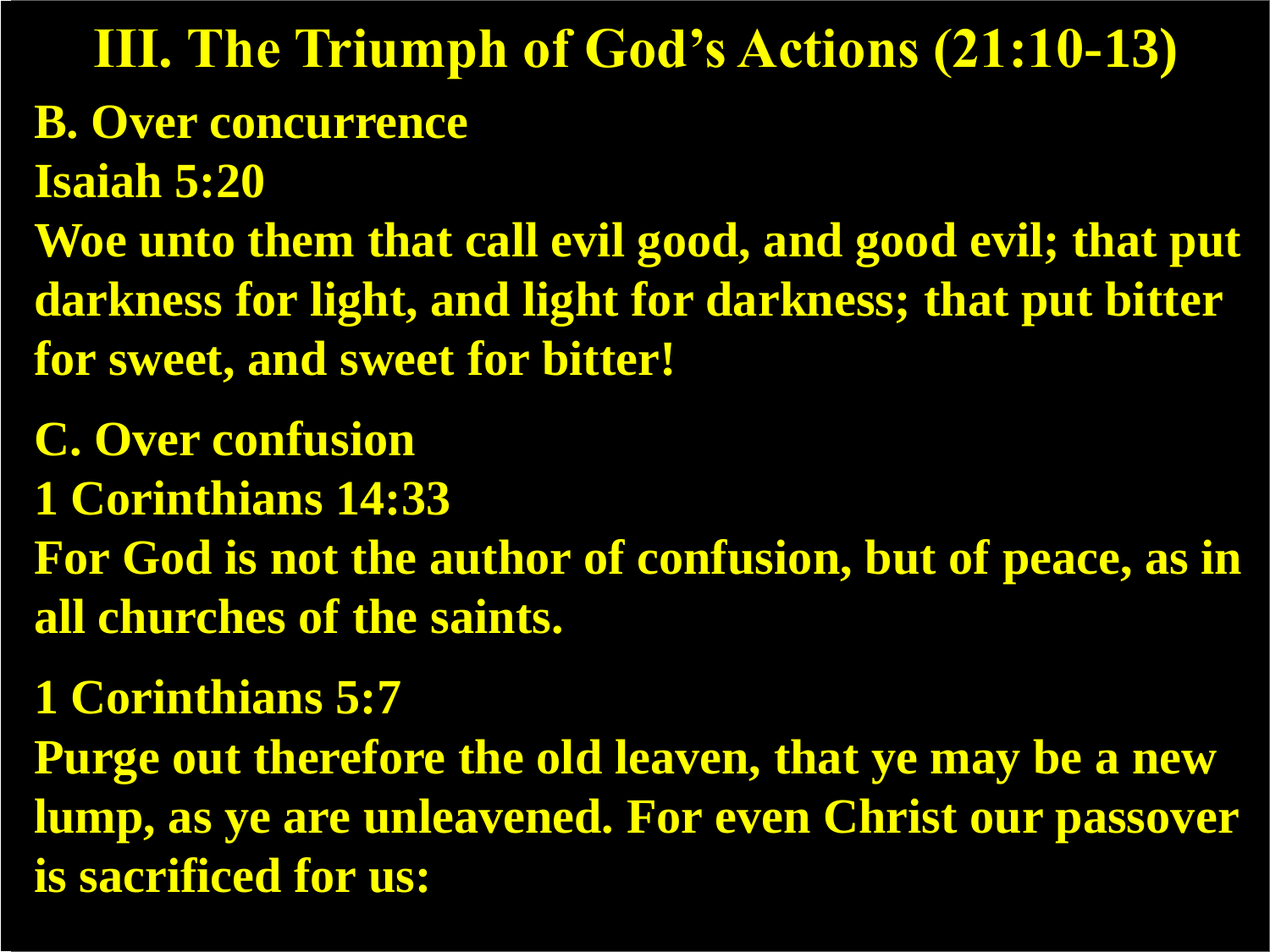**B. Over concurrence Isaiah 5:20 Woe unto them that call evil good, and good evil; that put darkness for light, and light for darkness; that put bitter for sweet, and sweet for bitter! C. Over confusion 1 Corinthians 14:33 For God is not the author of confusion, but of peace, as in all churches of the saints. 1 Corinthians 5:7 Purge out therefore the old leaven, that ye may be a new lump, as ye are unleavened. For even Christ our passover is sacrificed for us: III. The Triumph of God's Actions (21:10-13)**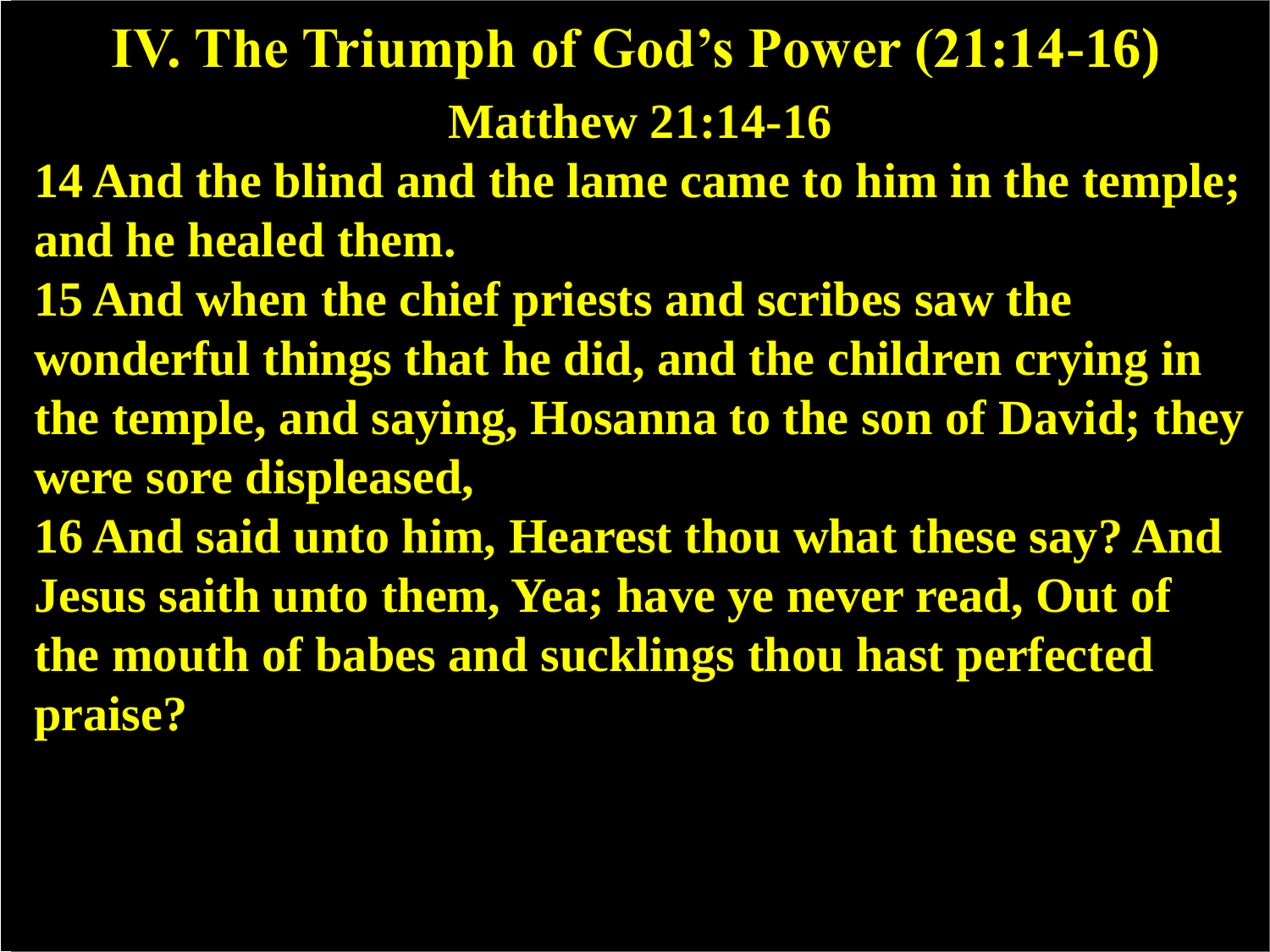# **Matthew 21:14-16 IV. The Triumph of God's Power (21:14-16)**

- **14 And the blind and the lame came to him in the temple; and he healed them.**
- **15 And when the chief priests and scribes saw the wonderful things that he did, and the children crying in the temple, and saying, Hosanna to the son of David; they were sore displeased,**
- **16 And said unto him, Hearest thou what these say? And Jesus saith unto them, Yea; have ye never read, Out of the mouth of babes and sucklings thou hast perfected praise?**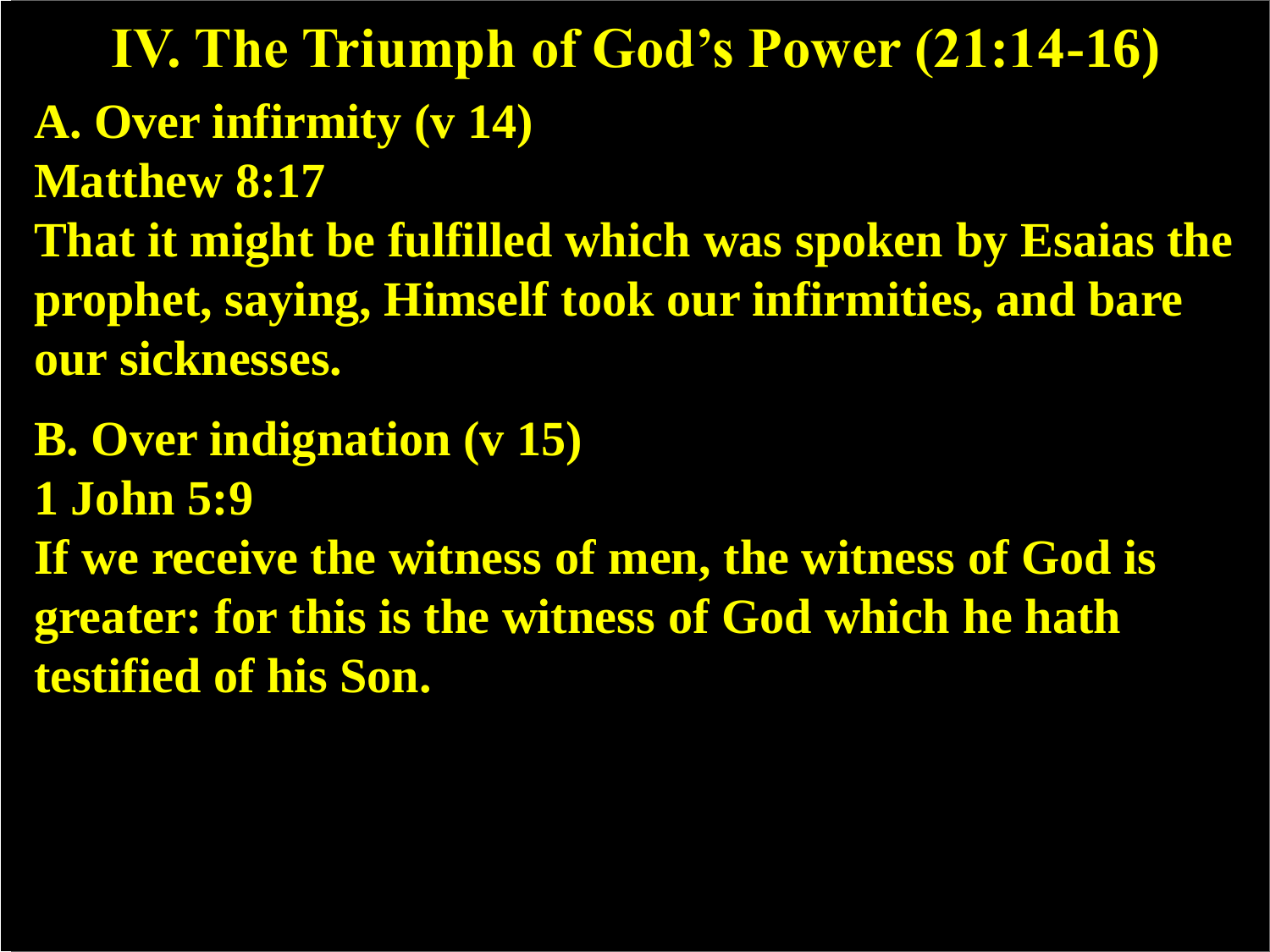**A. Over infirmity (v 14) Matthew 8:17 That it might be fulfilled which was spoken by Esaias the prophet, saying, Himself took our infirmities, and bare our sicknesses. IV. The Triumph of God's Power (21:14-16)**

**B. Over indignation (v 15) 1 John 5:9 If we receive the witness of men, the witness of God is greater: for this is the witness of God which he hath testified of his Son.**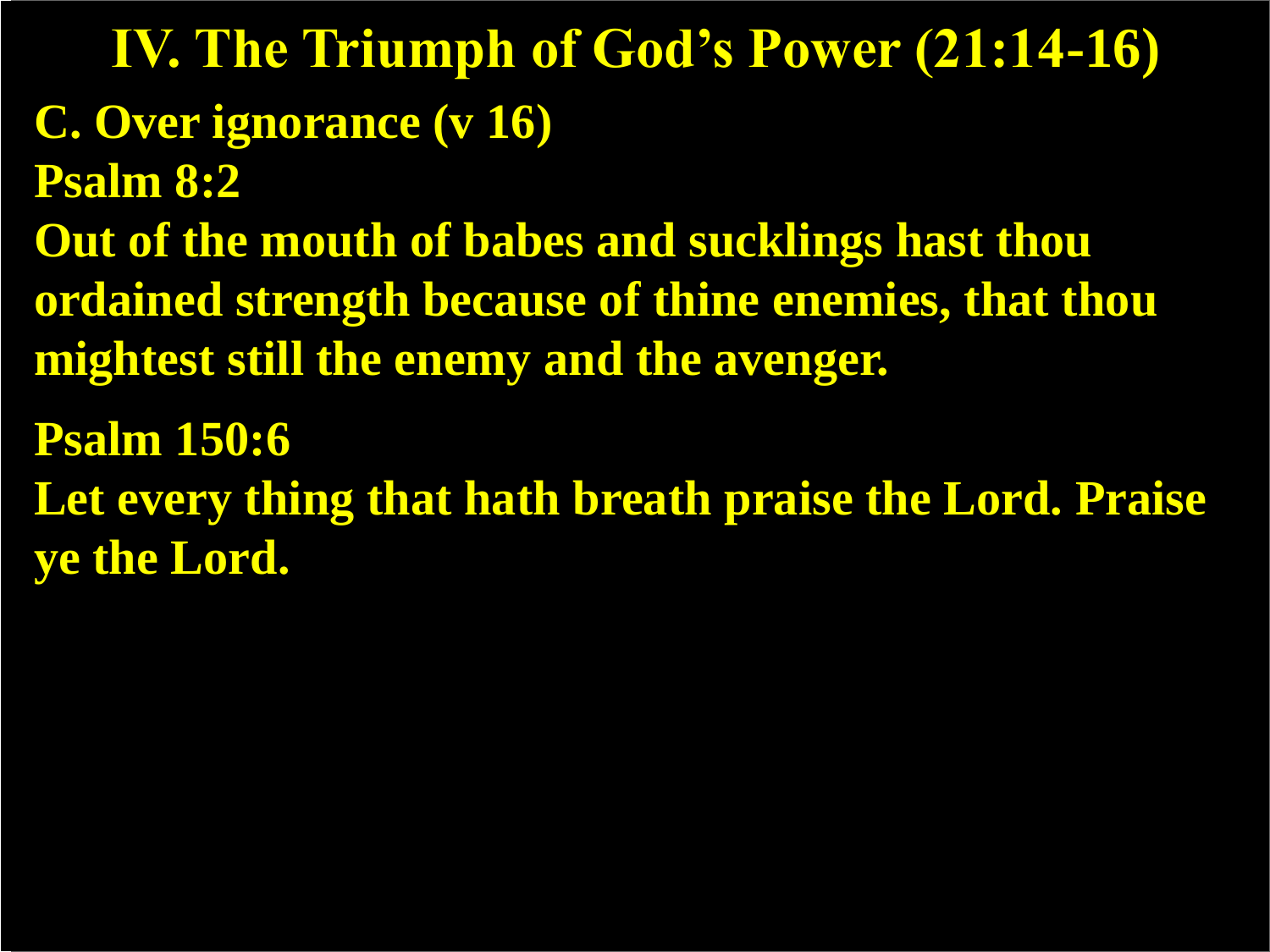**C. Over ignorance (v 16) Psalm 8:2 Out of the mouth of babes and sucklings hast thou ordained strength because of thine enemies, that thou mightest still the enemy and the avenger. Psalm 150:6 Let every thing that hath breath praise the Lord. Praise ye the Lord. IV. The Triumph of God's Power (21:14-16)**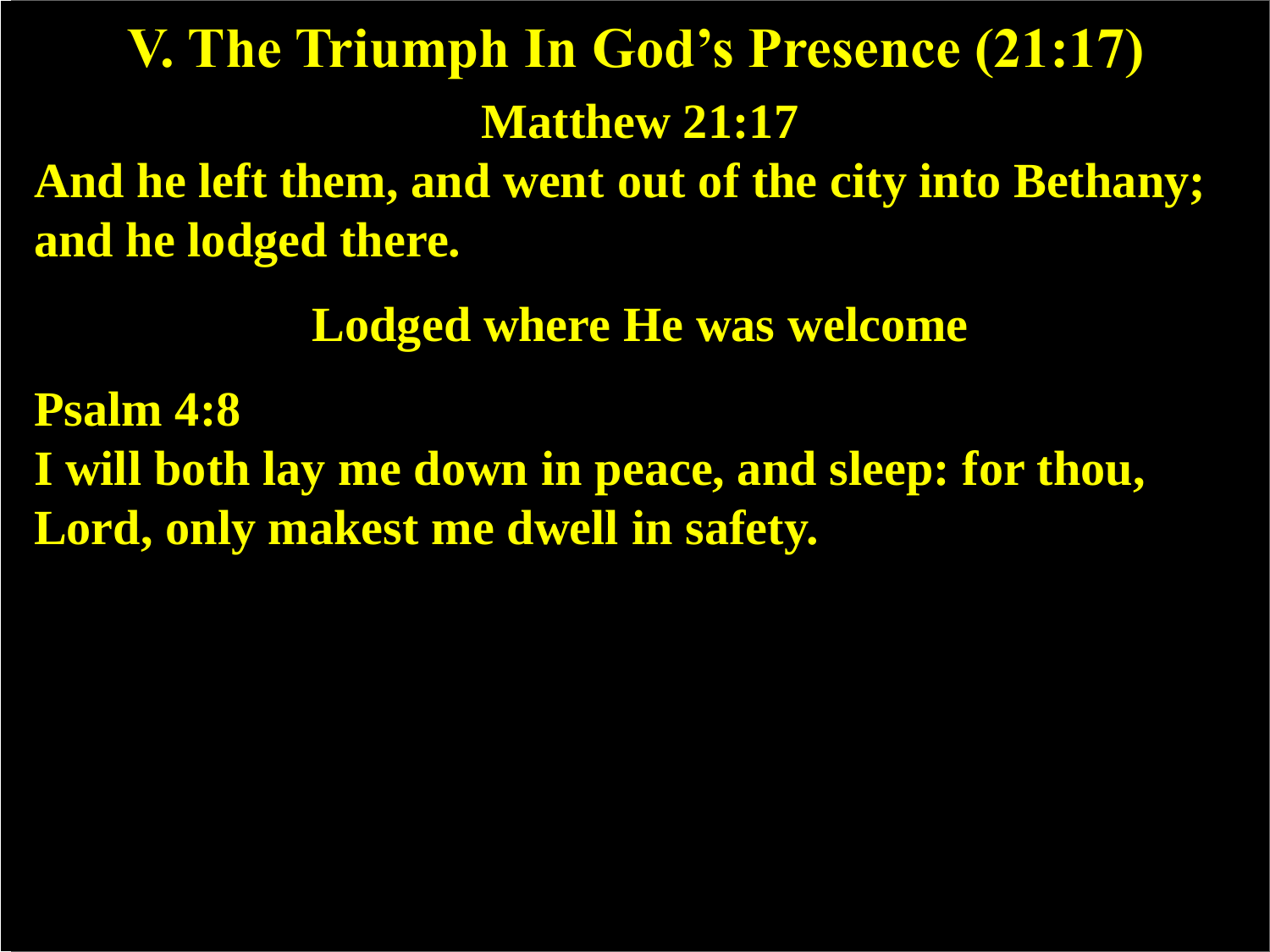# **Matthew 21:17 V. The Triumph In God's Presence (21:17)**

**And he left them, and went out of the city into Bethany; and he lodged there.**

#### **Lodged where He was welcome**

**Psalm 4:8**

**I will both lay me down in peace, and sleep: for thou, Lord, only makest me dwell in safety.**